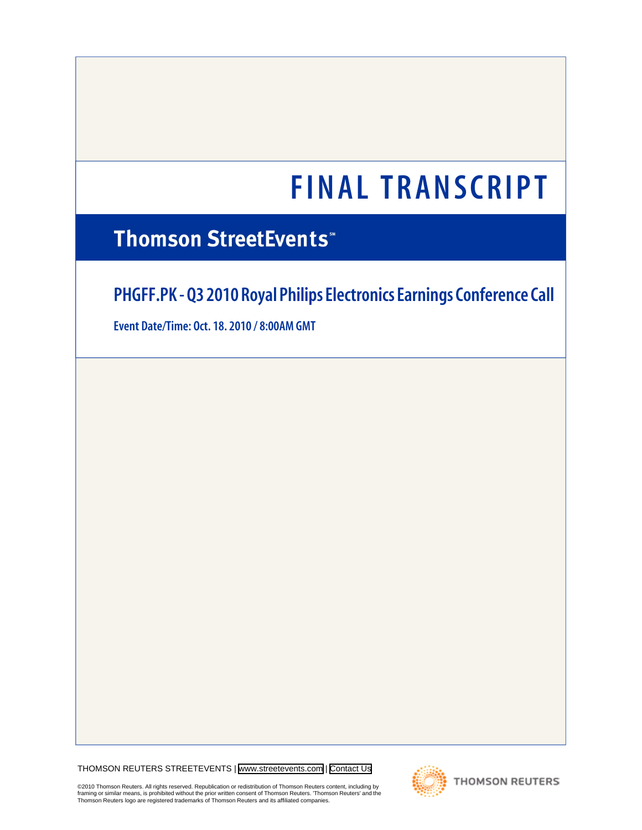# **Thomson StreetEvents\***

# **PHGFF.PK - Q3 2010 Royal Philips Electronics Earnings Conference Call**

**Event Date/Time: Oct. 18. 2010 / 8:00AM GMT**

THOMSON REUTERS STREETEVENTS | [www.streetevents.com](http://www.streetevents.com) | [Contact Us](http://www010.streetevents.com/contact.asp)

©2010 Thomson Reuters. All rights reserved. Republication or redistribution of Thomson Reuters content, including by<br>framing or similar means, is prohibited without the prior written consent of Thomson Reuters. 'Thomson Re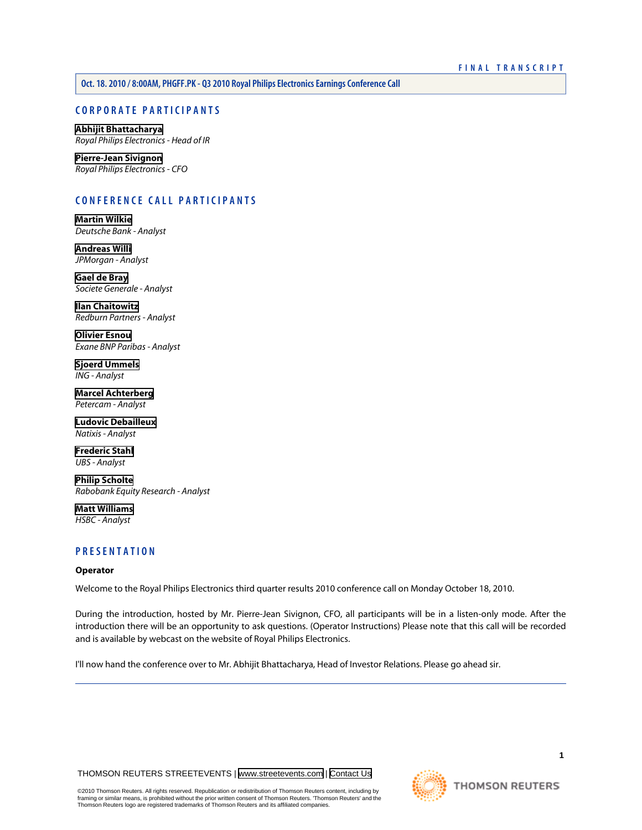**Oct. 18. 2010 / 8:00AM, PHGFF.PK - Q3 2010 Royal Philips Electronics Earnings Conference Call**

# **CORPORATE PARTICIPANTS**

**[Abhijit Bhattacharya](#page-2-0)** *Royal Philips Electronics - Head of IR*

**[Pierre-Jean Sivignon](#page-2-1)** *Royal Philips Electronics - CFO*

# **CONFERENCE CALL PARTICIPANTS**

**[Martin Wilkie](#page-6-0)** *Deutsche Bank - Analyst*

**[Andreas Willi](#page-7-0)** *JPMorgan - Analyst*

**[Gael de Bray](#page-8-0)** *Societe Generale - Analyst*

**[Ilan Chaitowitz](#page-10-0)** *Redburn Partners - Analyst*

**[Olivier Esnou](#page-11-0)** *Exane BNP Paribas - Analyst*

**[Sjoerd Ummels](#page-13-0)** *ING - Analyst*

**[Marcel Achterberg](#page-14-0)** *Petercam - Analyst*

**[Ludovic Debailleux](#page-15-0)** *Natixis - Analyst*

**[Frederic Stahl](#page-16-0)** *UBS - Analyst*

**[Philip Scholte](#page-16-1)** *Rabobank Equity Research - Analyst*

**[Matt Williams](#page-18-0)** *HSBC - Analyst*

# **PRESENTATION**

# **Operator**

Welcome to the Royal Philips Electronics third quarter results 2010 conference call on Monday October 18, 2010.

During the introduction, hosted by Mr. Pierre-Jean Sivignon, CFO, all participants will be in a listen-only mode. After the introduction there will be an opportunity to ask questions. (Operator Instructions) Please note that this call will be recorded and is available by webcast on the website of Royal Philips Electronics.

I'll now hand the conference over to Mr. Abhijit Bhattacharya, Head of Investor Relations. Please go ahead sir.

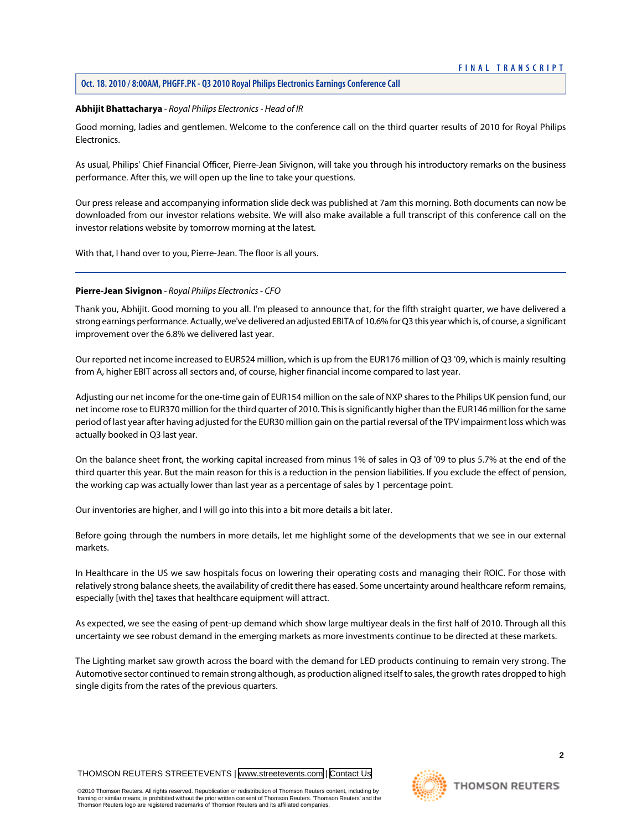#### <span id="page-2-0"></span>**Abhijit Bhattacharya** *- Royal Philips Electronics - Head of IR*

Good morning, ladies and gentlemen. Welcome to the conference call on the third quarter results of 2010 for Royal Philips Electronics.

As usual, Philips' Chief Financial Officer, Pierre-Jean Sivignon, will take you through his introductory remarks on the business performance. After this, we will open up the line to take your questions.

Our press release and accompanying information slide deck was published at 7am this morning. Both documents can now be downloaded from our investor relations website. We will also make available a full transcript of this conference call on the investor relations website by tomorrow morning at the latest.

<span id="page-2-1"></span>With that, I hand over to you, Pierre-Jean. The floor is all yours.

# **Pierre-Jean Sivignon** *- Royal Philips Electronics - CFO*

Thank you, Abhijit. Good morning to you all. I'm pleased to announce that, for the fifth straight quarter, we have delivered a strong earnings performance. Actually, we've delivered an adjusted EBITA of 10.6% for Q3 this year which is, of course, a significant improvement over the 6.8% we delivered last year.

Our reported net income increased to EUR524 million, which is up from the EUR176 million of Q3 '09, which is mainly resulting from A, higher EBIT across all sectors and, of course, higher financial income compared to last year.

Adjusting our net income for the one-time gain of EUR154 million on the sale of NXP shares to the Philips UK pension fund, our net income rose to EUR370 million for the third quarter of 2010. This is significantly higher than the EUR146 million for the same period of last year after having adjusted for the EUR30 million gain on the partial reversal of the TPV impairment loss which was actually booked in Q3 last year.

On the balance sheet front, the working capital increased from minus 1% of sales in Q3 of '09 to plus 5.7% at the end of the third quarter this year. But the main reason for this is a reduction in the pension liabilities. If you exclude the effect of pension, the working cap was actually lower than last year as a percentage of sales by 1 percentage point.

Our inventories are higher, and I will go into this into a bit more details a bit later.

Before going through the numbers in more details, let me highlight some of the developments that we see in our external markets.

In Healthcare in the US we saw hospitals focus on lowering their operating costs and managing their ROIC. For those with relatively strong balance sheets, the availability of credit there has eased. Some uncertainty around healthcare reform remains, especially [with the] taxes that healthcare equipment will attract.

As expected, we see the easing of pent-up demand which show large multiyear deals in the first half of 2010. Through all this uncertainty we see robust demand in the emerging markets as more investments continue to be directed at these markets.

The Lighting market saw growth across the board with the demand for LED products continuing to remain very strong. The Automotive sector continued to remain strong although, as production aligned itself to sales, the growth rates dropped to high single digits from the rates of the previous quarters.



**2**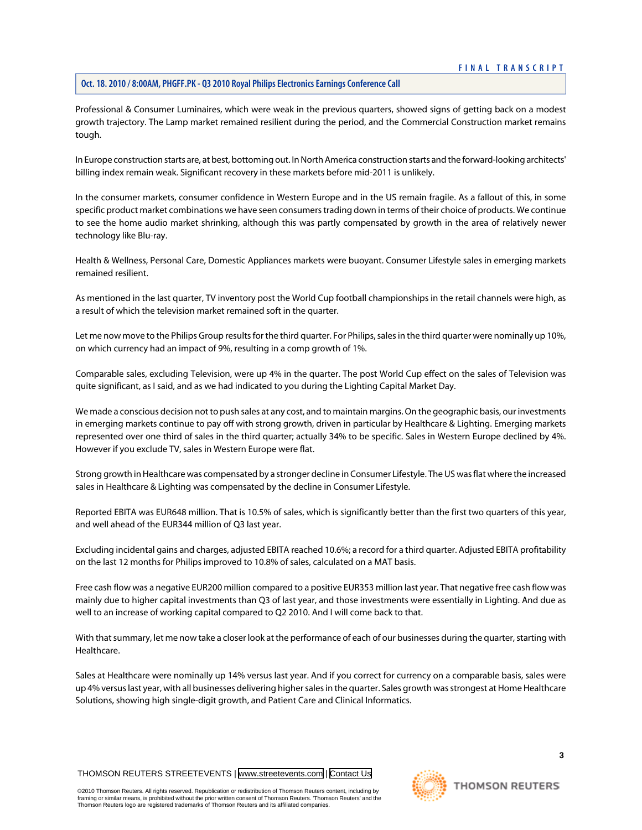# **Oct. 18. 2010 / 8:00AM, PHGFF.PK - Q3 2010 Royal Philips Electronics Earnings Conference Call**

Professional & Consumer Luminaires, which were weak in the previous quarters, showed signs of getting back on a modest growth trajectory. The Lamp market remained resilient during the period, and the Commercial Construction market remains tough.

In Europe construction starts are, at best, bottoming out. In North America construction starts and the forward-looking architects' billing index remain weak. Significant recovery in these markets before mid-2011 is unlikely.

In the consumer markets, consumer confidence in Western Europe and in the US remain fragile. As a fallout of this, in some specific product market combinations we have seen consumers trading down in terms of their choice of products. We continue to see the home audio market shrinking, although this was partly compensated by growth in the area of relatively newer technology like Blu-ray.

Health & Wellness, Personal Care, Domestic Appliances markets were buoyant. Consumer Lifestyle sales in emerging markets remained resilient.

As mentioned in the last quarter, TV inventory post the World Cup football championships in the retail channels were high, as a result of which the television market remained soft in the quarter.

Let me now move to the Philips Group results for the third quarter. For Philips, sales in the third quarter were nominally up 10%, on which currency had an impact of 9%, resulting in a comp growth of 1%.

Comparable sales, excluding Television, were up 4% in the quarter. The post World Cup effect on the sales of Television was quite significant, as I said, and as we had indicated to you during the Lighting Capital Market Day.

We made a conscious decision not to push sales at any cost, and to maintain margins. On the geographic basis, our investments in emerging markets continue to pay off with strong growth, driven in particular by Healthcare & Lighting. Emerging markets represented over one third of sales in the third quarter; actually 34% to be specific. Sales in Western Europe declined by 4%. However if you exclude TV, sales in Western Europe were flat.

Strong growth in Healthcare was compensated by a stronger decline in Consumer Lifestyle. The US was flat where the increased sales in Healthcare & Lighting was compensated by the decline in Consumer Lifestyle.

Reported EBITA was EUR648 million. That is 10.5% of sales, which is significantly better than the first two quarters of this year, and well ahead of the EUR344 million of Q3 last year.

Excluding incidental gains and charges, adjusted EBITA reached 10.6%; a record for a third quarter. Adjusted EBITA profitability on the last 12 months for Philips improved to 10.8% of sales, calculated on a MAT basis.

Free cash flow was a negative EUR200 million compared to a positive EUR353 million last year. That negative free cash flow was mainly due to higher capital investments than Q3 of last year, and those investments were essentially in Lighting. And due as well to an increase of working capital compared to Q2 2010. And I will come back to that.

With that summary, let me now take a closer look at the performance of each of our businesses during the quarter, starting with Healthcare.

Sales at Healthcare were nominally up 14% versus last year. And if you correct for currency on a comparable basis, sales were up 4% versus last year, with all businesses delivering higher sales in the quarter. Sales growth was strongest at Home Healthcare Solutions, showing high single-digit growth, and Patient Care and Clinical Informatics.

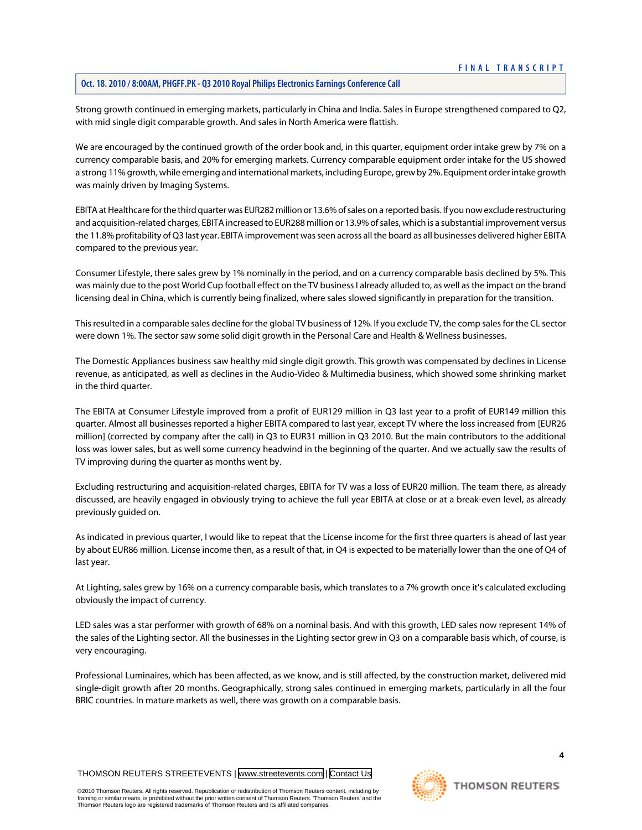Strong growth continued in emerging markets, particularly in China and India. Sales in Europe strengthened compared to Q2, with mid single digit comparable growth. And sales in North America were flattish.

We are encouraged by the continued growth of the order book and, in this quarter, equipment order intake grew by 7% on a currency comparable basis, and 20% for emerging markets. Currency comparable equipment order intake for the US showed a strong 11% growth, while emerging and international markets, including Europe, grew by 2%. Equipment order intake growth was mainly driven by Imaging Systems.

EBITA at Healthcare for the third quarter was EUR282 million or 13.6% of sales on a reported basis. If you now exclude restructuring and acquisition-related charges, EBITA increased to EUR288 million or 13.9% of sales, which is a substantial improvement versus the 11.8% profitability of Q3 last year. EBITA improvement was seen across all the board as all businesses delivered higher EBITA compared to the previous year.

Consumer Lifestyle, there sales grew by 1% nominally in the period, and on a currency comparable basis declined by 5%. This was mainly due to the post World Cup football effect on the TV business I already alluded to, as well as the impact on the brand licensing deal in China, which is currently being finalized, where sales slowed significantly in preparation for the transition.

This resulted in a comparable sales decline for the global TV business of 12%. If you exclude TV, the comp sales for the CL sector were down 1%. The sector saw some solid digit growth in the Personal Care and Health & Wellness businesses.

The Domestic Appliances business saw healthy mid single digit growth. This growth was compensated by declines in License revenue, as anticipated, as well as declines in the Audio-Video & Multimedia business, which showed some shrinking market in the third quarter.

The EBITA at Consumer Lifestyle improved from a profit of EUR129 million in Q3 last year to a profit of EUR149 million this quarter. Almost all businesses reported a higher EBITA compared to last year, except TV where the loss increased from [EUR26 million] (corrected by company after the call) in Q3 to EUR31 million in Q3 2010. But the main contributors to the additional loss was lower sales, but as well some currency headwind in the beginning of the quarter. And we actually saw the results of TV improving during the quarter as months went by.

Excluding restructuring and acquisition-related charges, EBITA for TV was a loss of EUR20 million. The team there, as already discussed, are heavily engaged in obviously trying to achieve the full year EBITA at close or at a break-even level, as already previously guided on.

As indicated in previous quarter, I would like to repeat that the License income for the first three quarters is ahead of last year by about EUR86 million. License income then, as a result of that, in Q4 is expected to be materially lower than the one of Q4 of last year.

At Lighting, sales grew by 16% on a currency comparable basis, which translates to a 7% growth once it's calculated excluding obviously the impact of currency.

LED sales was a star performer with growth of 68% on a nominal basis. And with this growth, LED sales now represent 14% of the sales of the Lighting sector. All the businesses in the Lighting sector grew in Q3 on a comparable basis which, of course, is very encouraging.

Professional Luminaires, which has been affected, as we know, and is still affected, by the construction market, delivered mid single-digit growth after 20 months. Geographically, strong sales continued in emerging markets, particularly in all the four BRIC countries. In mature markets as well, there was growth on a comparable basis.

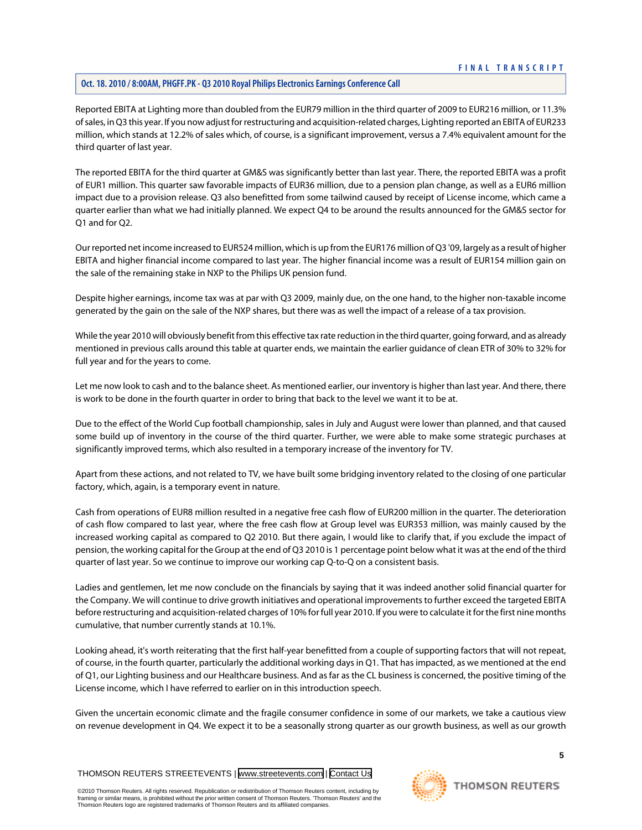# **Oct. 18. 2010 / 8:00AM, PHGFF.PK - Q3 2010 Royal Philips Electronics Earnings Conference Call**

Reported EBITA at Lighting more than doubled from the EUR79 million in the third quarter of 2009 to EUR216 million, or 11.3% of sales, in Q3 this year. If you now adjust for restructuring and acquisition-related charges, Lighting reported an EBITA of EUR233 million, which stands at 12.2% of sales which, of course, is a significant improvement, versus a 7.4% equivalent amount for the third quarter of last year.

The reported EBITA for the third quarter at GM&S was significantly better than last year. There, the reported EBITA was a profit of EUR1 million. This quarter saw favorable impacts of EUR36 million, due to a pension plan change, as well as a EUR6 million impact due to a provision release. Q3 also benefitted from some tailwind caused by receipt of License income, which came a quarter earlier than what we had initially planned. We expect Q4 to be around the results announced for the GM&S sector for Q1 and for Q2.

Our reported net income increased to EUR524 million, which is up from the EUR176 million of Q3 '09, largely as a result of higher EBITA and higher financial income compared to last year. The higher financial income was a result of EUR154 million gain on the sale of the remaining stake in NXP to the Philips UK pension fund.

Despite higher earnings, income tax was at par with Q3 2009, mainly due, on the one hand, to the higher non-taxable income generated by the gain on the sale of the NXP shares, but there was as well the impact of a release of a tax provision.

While the year 2010 will obviously benefit from this effective tax rate reduction in the third quarter, going forward, and as already mentioned in previous calls around this table at quarter ends, we maintain the earlier guidance of clean ETR of 30% to 32% for full year and for the years to come.

Let me now look to cash and to the balance sheet. As mentioned earlier, our inventory is higher than last year. And there, there is work to be done in the fourth quarter in order to bring that back to the level we want it to be at.

Due to the effect of the World Cup football championship, sales in July and August were lower than planned, and that caused some build up of inventory in the course of the third quarter. Further, we were able to make some strategic purchases at significantly improved terms, which also resulted in a temporary increase of the inventory for TV.

Apart from these actions, and not related to TV, we have built some bridging inventory related to the closing of one particular factory, which, again, is a temporary event in nature.

Cash from operations of EUR8 million resulted in a negative free cash flow of EUR200 million in the quarter. The deterioration of cash flow compared to last year, where the free cash flow at Group level was EUR353 million, was mainly caused by the increased working capital as compared to Q2 2010. But there again, I would like to clarify that, if you exclude the impact of pension, the working capital for the Group at the end of Q3 2010 is 1 percentage point below what it was at the end of the third quarter of last year. So we continue to improve our working cap Q-to-Q on a consistent basis.

Ladies and gentlemen, let me now conclude on the financials by saying that it was indeed another solid financial quarter for the Company. We will continue to drive growth initiatives and operational improvements to further exceed the targeted EBITA before restructuring and acquisition-related charges of 10% for full year 2010. If you were to calculate it for the first nine months cumulative, that number currently stands at 10.1%.

Looking ahead, it's worth reiterating that the first half-year benefitted from a couple of supporting factors that will not repeat, of course, in the fourth quarter, particularly the additional working days in Q1. That has impacted, as we mentioned at the end of Q1, our Lighting business and our Healthcare business. And as far as the CL business is concerned, the positive timing of the License income, which I have referred to earlier on in this introduction speech.

Given the uncertain economic climate and the fragile consumer confidence in some of our markets, we take a cautious view on revenue development in Q4. We expect it to be a seasonally strong quarter as our growth business, as well as our growth

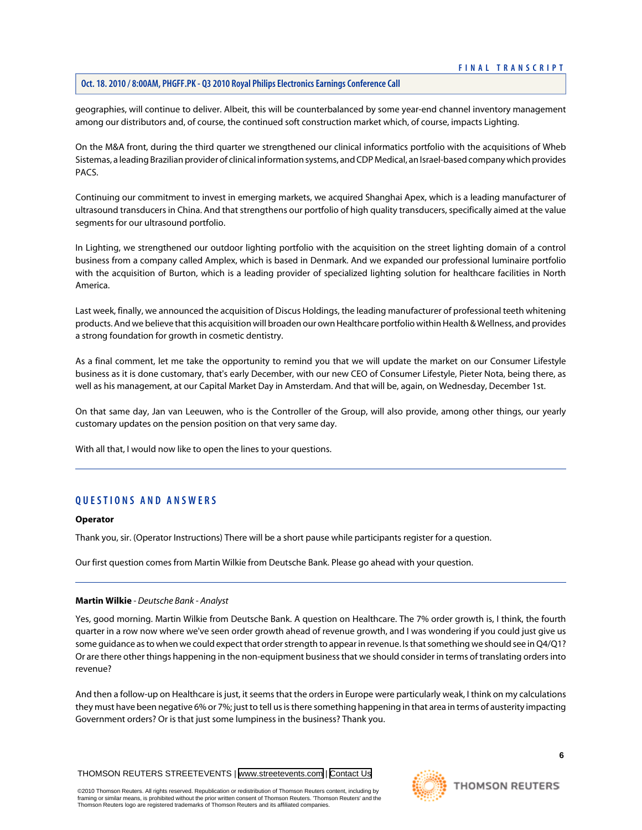geographies, will continue to deliver. Albeit, this will be counterbalanced by some year-end channel inventory management among our distributors and, of course, the continued soft construction market which, of course, impacts Lighting.

On the M&A front, during the third quarter we strengthened our clinical informatics portfolio with the acquisitions of Wheb Sistemas, a leading Brazilian provider of clinical information systems, and CDP Medical, an Israel-based company which provides PACS.

Continuing our commitment to invest in emerging markets, we acquired Shanghai Apex, which is a leading manufacturer of ultrasound transducers in China. And that strengthens our portfolio of high quality transducers, specifically aimed at the value segments for our ultrasound portfolio.

In Lighting, we strengthened our outdoor lighting portfolio with the acquisition on the street lighting domain of a control business from a company called Amplex, which is based in Denmark. And we expanded our professional luminaire portfolio with the acquisition of Burton, which is a leading provider of specialized lighting solution for healthcare facilities in North America.

Last week, finally, we announced the acquisition of Discus Holdings, the leading manufacturer of professional teeth whitening products. And we believe that this acquisition will broaden our own Healthcare portfolio within Health & Wellness, and provides a strong foundation for growth in cosmetic dentistry.

As a final comment, let me take the opportunity to remind you that we will update the market on our Consumer Lifestyle business as it is done customary, that's early December, with our new CEO of Consumer Lifestyle, Pieter Nota, being there, as well as his management, at our Capital Market Day in Amsterdam. And that will be, again, on Wednesday, December 1st.

On that same day, Jan van Leeuwen, who is the Controller of the Group, will also provide, among other things, our yearly customary updates on the pension position on that very same day.

With all that, I would now like to open the lines to your questions.

# **QUESTIONS AND ANSWERS**

#### **Operator**

<span id="page-6-0"></span>Thank you, sir. (Operator Instructions) There will be a short pause while participants register for a question.

Our first question comes from Martin Wilkie from Deutsche Bank. Please go ahead with your question.

#### **Martin Wilkie** *- Deutsche Bank - Analyst*

Yes, good morning. Martin Wilkie from Deutsche Bank. A question on Healthcare. The 7% order growth is, I think, the fourth quarter in a row now where we've seen order growth ahead of revenue growth, and I was wondering if you could just give us some guidance as to when we could expect that order strength to appear in revenue. Is that something we should see in Q4/Q1? Or are there other things happening in the non-equipment business that we should consider in terms of translating orders into revenue?

And then a follow-up on Healthcare is just, it seems that the orders in Europe were particularly weak, I think on my calculations they must have been negative 6% or 7%; just to tell us is there something happening in that area in terms of austerity impacting Government orders? Or is that just some lumpiness in the business? Thank you.

THOMSON REUTERS STREETEVENTS | [www.streetevents.com](http://www.streetevents.com) | [Contact Us](http://www010.streetevents.com/contact.asp)

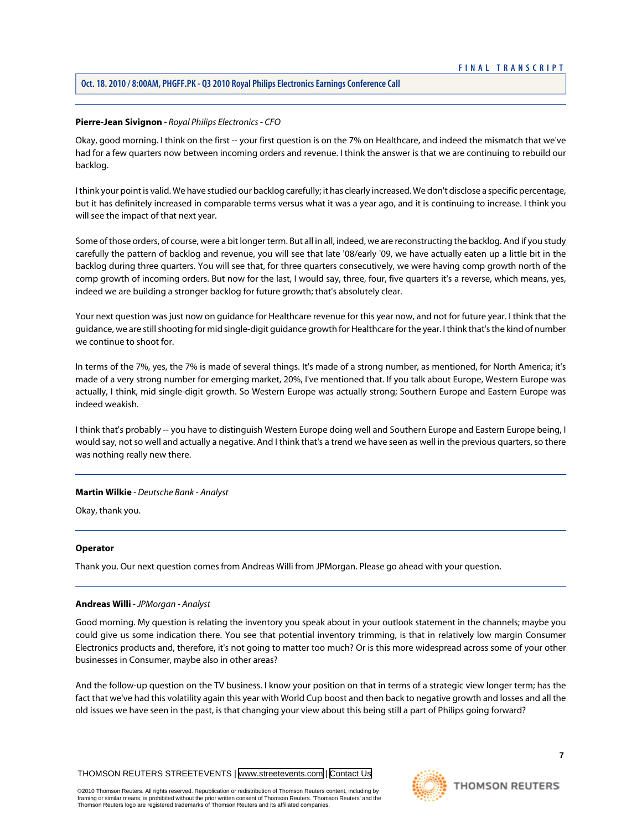# **Pierre-Jean Sivignon** *- Royal Philips Electronics - CFO*

Okay, good morning. I think on the first -- your first question is on the 7% on Healthcare, and indeed the mismatch that we've had for a few quarters now between incoming orders and revenue. I think the answer is that we are continuing to rebuild our backlog.

I think your point is valid. We have studied our backlog carefully; it has clearly increased. We don't disclose a specific percentage, but it has definitely increased in comparable terms versus what it was a year ago, and it is continuing to increase. I think you will see the impact of that next year.

Some of those orders, of course, were a bit longer term. But all in all, indeed, we are reconstructing the backlog. And if you study carefully the pattern of backlog and revenue, you will see that late '08/early '09, we have actually eaten up a little bit in the backlog during three quarters. You will see that, for three quarters consecutively, we were having comp growth north of the comp growth of incoming orders. But now for the last, I would say, three, four, five quarters it's a reverse, which means, yes, indeed we are building a stronger backlog for future growth; that's absolutely clear.

Your next question was just now on guidance for Healthcare revenue for this year now, and not for future year. I think that the guidance, we are still shooting for mid single-digit guidance growth for Healthcare for the year. I think that's the kind of number we continue to shoot for.

In terms of the 7%, yes, the 7% is made of several things. It's made of a strong number, as mentioned, for North America; it's made of a very strong number for emerging market, 20%, I've mentioned that. If you talk about Europe, Western Europe was actually, I think, mid single-digit growth. So Western Europe was actually strong; Southern Europe and Eastern Europe was indeed weakish.

I think that's probably -- you have to distinguish Western Europe doing well and Southern Europe and Eastern Europe being, I would say, not so well and actually a negative. And I think that's a trend we have seen as well in the previous quarters, so there was nothing really new there.

#### **Martin Wilkie** *- Deutsche Bank - Analyst*

Okay, thank you.

#### <span id="page-7-0"></span>**Operator**

Thank you. Our next question comes from Andreas Willi from JPMorgan. Please go ahead with your question.

#### **Andreas Willi** *- JPMorgan - Analyst*

Good morning. My question is relating the inventory you speak about in your outlook statement in the channels; maybe you could give us some indication there. You see that potential inventory trimming, is that in relatively low margin Consumer Electronics products and, therefore, it's not going to matter too much? Or is this more widespread across some of your other businesses in Consumer, maybe also in other areas?

And the follow-up question on the TV business. I know your position on that in terms of a strategic view longer term; has the fact that we've had this volatility again this year with World Cup boost and then back to negative growth and losses and all the old issues we have seen in the past, is that changing your view about this being still a part of Philips going forward?

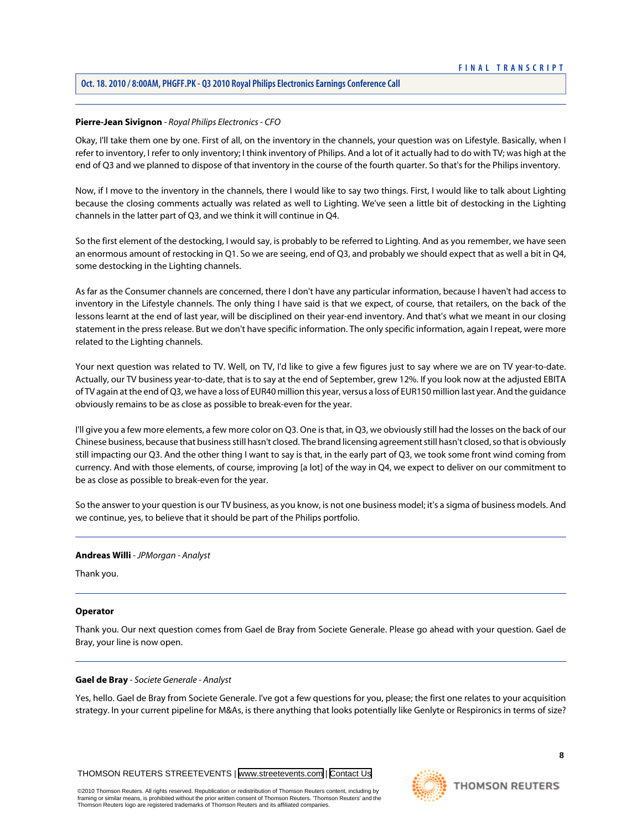# **Oct. 18. 2010 / 8:00AM, PHGFF.PK - Q3 2010 Royal Philips Electronics Earnings Conference Call**

# **Pierre-Jean Sivignon** *- Royal Philips Electronics - CFO*

Okay, I'll take them one by one. First of all, on the inventory in the channels, your question was on Lifestyle. Basically, when I refer to inventory, I refer to only inventory; I think inventory of Philips. And a lot of it actually had to do with TV; was high at the end of Q3 and we planned to dispose of that inventory in the course of the fourth quarter. So that's for the Philips inventory.

Now, if I move to the inventory in the channels, there I would like to say two things. First, I would like to talk about Lighting because the closing comments actually was related as well to Lighting. We've seen a little bit of destocking in the Lighting channels in the latter part of Q3, and we think it will continue in Q4.

So the first element of the destocking, I would say, is probably to be referred to Lighting. And as you remember, we have seen an enormous amount of restocking in Q1. So we are seeing, end of Q3, and probably we should expect that as well a bit in Q4, some destocking in the Lighting channels.

As far as the Consumer channels are concerned, there I don't have any particular information, because I haven't had access to inventory in the Lifestyle channels. The only thing I have said is that we expect, of course, that retailers, on the back of the lessons learnt at the end of last year, will be disciplined on their year-end inventory. And that's what we meant in our closing statement in the press release. But we don't have specific information. The only specific information, again I repeat, were more related to the Lighting channels.

Your next question was related to TV. Well, on TV, I'd like to give a few figures just to say where we are on TV year-to-date. Actually, our TV business year-to-date, that is to say at the end of September, grew 12%. If you look now at the adjusted EBITA of TV again at the end of Q3, we have a loss of EUR40 million this year, versus a loss of EUR150 million last year. And the guidance obviously remains to be as close as possible to break-even for the year.

I'll give you a few more elements, a few more color on Q3. One is that, in Q3, we obviously still had the losses on the back of our Chinese business, because that business still hasn't closed. The brand licensing agreement still hasn't closed, so that is obviously still impacting our Q3. And the other thing I want to say is that, in the early part of Q3, we took some front wind coming from currency. And with those elements, of course, improving [a lot] of the way in Q4, we expect to deliver on our commitment to be as close as possible to break-even for the year.

So the answer to your question is our TV business, as you know, is not one business model; it's a sigma of business models. And we continue, yes, to believe that it should be part of the Philips portfolio.

#### **Andreas Willi** *- JPMorgan - Analyst*

Thank you.

#### <span id="page-8-0"></span>**Operator**

Thank you. Our next question comes from Gael de Bray from Societe Generale. Please go ahead with your question. Gael de Bray, your line is now open.

#### **Gael de Bray** *- Societe Generale - Analyst*

Yes, hello. Gael de Bray from Societe Generale. I've got a few questions for you, please; the first one relates to your acquisition strategy. In your current pipeline for M&As, is there anything that looks potentially like Genlyte or Respironics in terms of size?

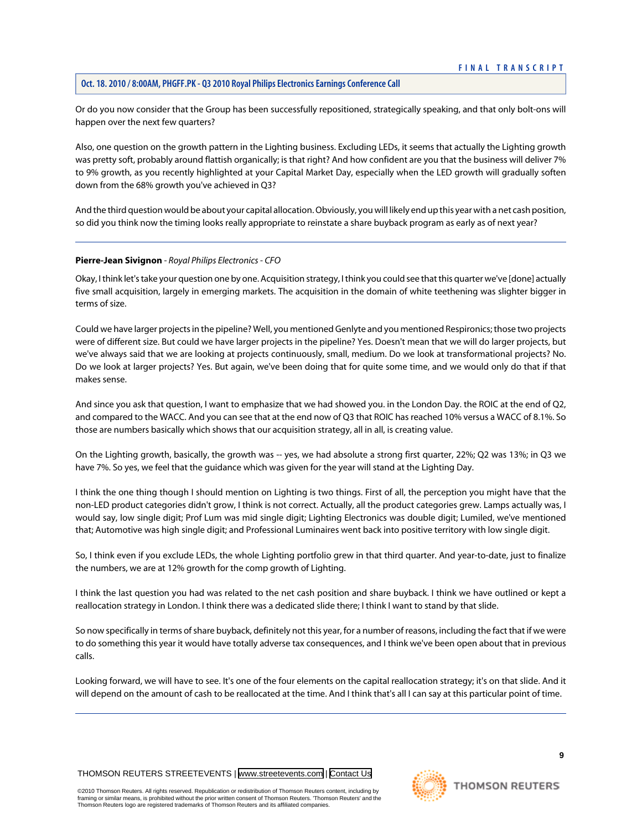# **Oct. 18. 2010 / 8:00AM, PHGFF.PK - Q3 2010 Royal Philips Electronics Earnings Conference Call**

Or do you now consider that the Group has been successfully repositioned, strategically speaking, and that only bolt-ons will happen over the next few quarters?

Also, one question on the growth pattern in the Lighting business. Excluding LEDs, it seems that actually the Lighting growth was pretty soft, probably around flattish organically; is that right? And how confident are you that the business will deliver 7% to 9% growth, as you recently highlighted at your Capital Market Day, especially when the LED growth will gradually soften down from the 68% growth you've achieved in Q3?

And the third question would be about your capital allocation. Obviously, you will likely end up this year with a net cash position, so did you think now the timing looks really appropriate to reinstate a share buyback program as early as of next year?

# **Pierre-Jean Sivignon** *- Royal Philips Electronics - CFO*

Okay, I think let's take your question one by one. Acquisition strategy, I think you could see that this quarter we've [done] actually five small acquisition, largely in emerging markets. The acquisition in the domain of white teethening was slighter bigger in terms of size.

Could we have larger projects in the pipeline? Well, you mentioned Genlyte and you mentioned Respironics; those two projects were of different size. But could we have larger projects in the pipeline? Yes. Doesn't mean that we will do larger projects, but we've always said that we are looking at projects continuously, small, medium. Do we look at transformational projects? No. Do we look at larger projects? Yes. But again, we've been doing that for quite some time, and we would only do that if that makes sense.

And since you ask that question, I want to emphasize that we had showed you. in the London Day. the ROIC at the end of Q2, and compared to the WACC. And you can see that at the end now of Q3 that ROIC has reached 10% versus a WACC of 8.1%. So those are numbers basically which shows that our acquisition strategy, all in all, is creating value.

On the Lighting growth, basically, the growth was -- yes, we had absolute a strong first quarter, 22%; Q2 was 13%; in Q3 we have 7%. So yes, we feel that the guidance which was given for the year will stand at the Lighting Day.

I think the one thing though I should mention on Lighting is two things. First of all, the perception you might have that the non-LED product categories didn't grow, I think is not correct. Actually, all the product categories grew. Lamps actually was, I would say, low single digit; Prof Lum was mid single digit; Lighting Electronics was double digit; Lumiled, we've mentioned that; Automotive was high single digit; and Professional Luminaires went back into positive territory with low single digit.

So, I think even if you exclude LEDs, the whole Lighting portfolio grew in that third quarter. And year-to-date, just to finalize the numbers, we are at 12% growth for the comp growth of Lighting.

I think the last question you had was related to the net cash position and share buyback. I think we have outlined or kept a reallocation strategy in London. I think there was a dedicated slide there; I think I want to stand by that slide.

So now specifically in terms of share buyback, definitely not this year, for a number of reasons, including the fact that if we were to do something this year it would have totally adverse tax consequences, and I think we've been open about that in previous calls.

Looking forward, we will have to see. It's one of the four elements on the capital reallocation strategy; it's on that slide. And it will depend on the amount of cash to be reallocated at the time. And I think that's all I can say at this particular point of time.

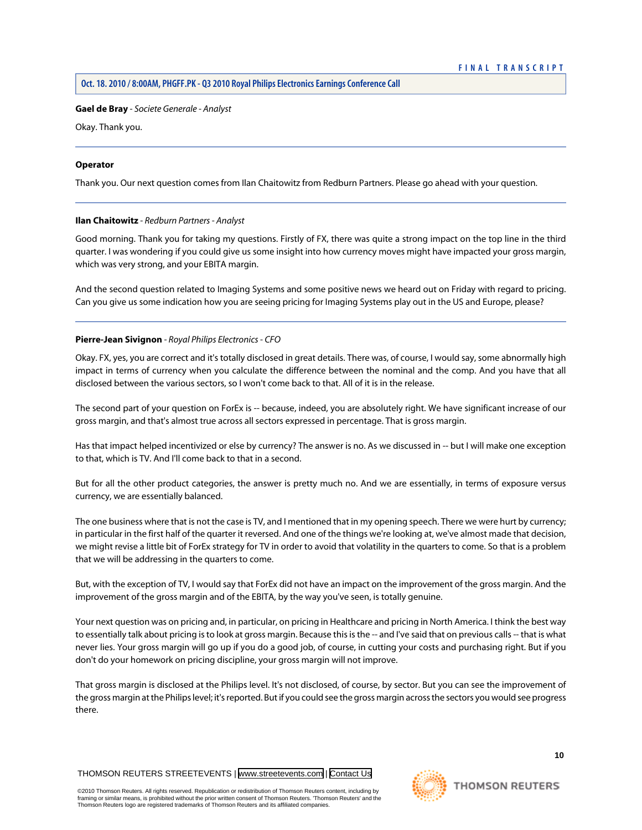#### **Gael de Bray** *- Societe Generale - Analyst*

Okay. Thank you.

#### **Operator**

<span id="page-10-0"></span>Thank you. Our next question comes from Ilan Chaitowitz from Redburn Partners. Please go ahead with your question.

#### **Ilan Chaitowitz** *- Redburn Partners - Analyst*

Good morning. Thank you for taking my questions. Firstly of FX, there was quite a strong impact on the top line in the third quarter. I was wondering if you could give us some insight into how currency moves might have impacted your gross margin, which was very strong, and your EBITA margin.

And the second question related to Imaging Systems and some positive news we heard out on Friday with regard to pricing. Can you give us some indication how you are seeing pricing for Imaging Systems play out in the US and Europe, please?

#### **Pierre-Jean Sivignon** *- Royal Philips Electronics - CFO*

Okay. FX, yes, you are correct and it's totally disclosed in great details. There was, of course, I would say, some abnormally high impact in terms of currency when you calculate the difference between the nominal and the comp. And you have that all disclosed between the various sectors, so I won't come back to that. All of it is in the release.

The second part of your question on ForEx is -- because, indeed, you are absolutely right. We have significant increase of our gross margin, and that's almost true across all sectors expressed in percentage. That is gross margin.

Has that impact helped incentivized or else by currency? The answer is no. As we discussed in -- but I will make one exception to that, which is TV. And I'll come back to that in a second.

But for all the other product categories, the answer is pretty much no. And we are essentially, in terms of exposure versus currency, we are essentially balanced.

The one business where that is not the case is TV, and I mentioned that in my opening speech. There we were hurt by currency; in particular in the first half of the quarter it reversed. And one of the things we're looking at, we've almost made that decision, we might revise a little bit of ForEx strategy for TV in order to avoid that volatility in the quarters to come. So that is a problem that we will be addressing in the quarters to come.

But, with the exception of TV, I would say that ForEx did not have an impact on the improvement of the gross margin. And the improvement of the gross margin and of the EBITA, by the way you've seen, is totally genuine.

Your next question was on pricing and, in particular, on pricing in Healthcare and pricing in North America. I think the best way to essentially talk about pricing is to look at gross margin. Because this is the -- and I've said that on previous calls -- that is what never lies. Your gross margin will go up if you do a good job, of course, in cutting your costs and purchasing right. But if you don't do your homework on pricing discipline, your gross margin will not improve.

That gross margin is disclosed at the Philips level. It's not disclosed, of course, by sector. But you can see the improvement of the gross margin at the Philips level; it's reported. But if you could see the gross margin across the sectors you would see progress there.

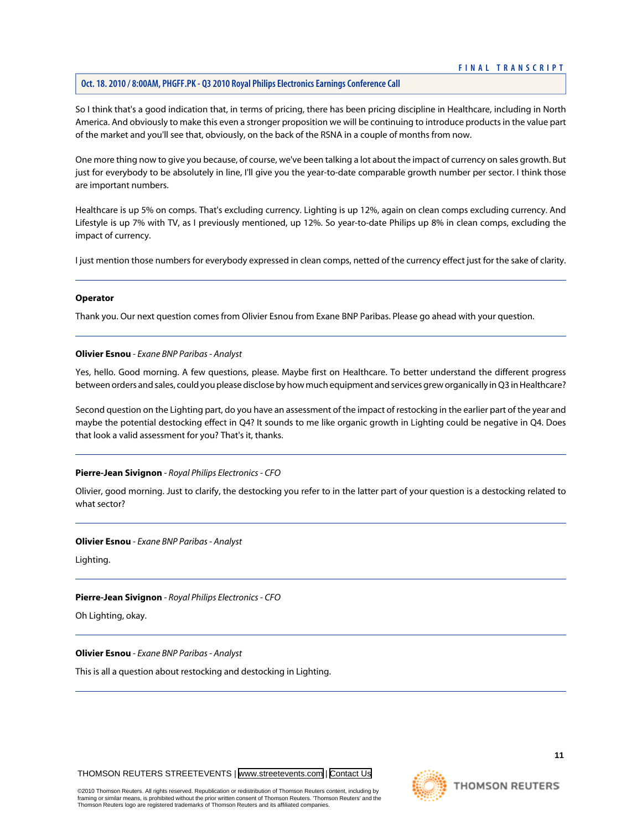# **Oct. 18. 2010 / 8:00AM, PHGFF.PK - Q3 2010 Royal Philips Electronics Earnings Conference Call**

So I think that's a good indication that, in terms of pricing, there has been pricing discipline in Healthcare, including in North America. And obviously to make this even a stronger proposition we will be continuing to introduce products in the value part of the market and you'll see that, obviously, on the back of the RSNA in a couple of months from now.

One more thing now to give you because, of course, we've been talking a lot about the impact of currency on sales growth. But just for everybody to be absolutely in line, I'll give you the year-to-date comparable growth number per sector. I think those are important numbers.

Healthcare is up 5% on comps. That's excluding currency. Lighting is up 12%, again on clean comps excluding currency. And Lifestyle is up 7% with TV, as I previously mentioned, up 12%. So year-to-date Philips up 8% in clean comps, excluding the impact of currency.

I just mention those numbers for everybody expressed in clean comps, netted of the currency effect just for the sake of clarity.

#### **Operator**

<span id="page-11-0"></span>Thank you. Our next question comes from Olivier Esnou from Exane BNP Paribas. Please go ahead with your question.

#### **Olivier Esnou** *- Exane BNP Paribas - Analyst*

Yes, hello. Good morning. A few questions, please. Maybe first on Healthcare. To better understand the different progress between orders and sales, could you please disclose by how much equipment and services grew organically in Q3 in Healthcare?

Second question on the Lighting part, do you have an assessment of the impact of restocking in the earlier part of the year and maybe the potential destocking effect in Q4? It sounds to me like organic growth in Lighting could be negative in Q4. Does that look a valid assessment for you? That's it, thanks.

# **Pierre-Jean Sivignon** *- Royal Philips Electronics - CFO*

Olivier, good morning. Just to clarify, the destocking you refer to in the latter part of your question is a destocking related to what sector?

#### **Olivier Esnou** *- Exane BNP Paribas - Analyst*

Lighting.

#### **Pierre-Jean Sivignon** *- Royal Philips Electronics - CFO*

Oh Lighting, okay.

#### **Olivier Esnou** *- Exane BNP Paribas - Analyst*

This is all a question about restocking and destocking in Lighting.

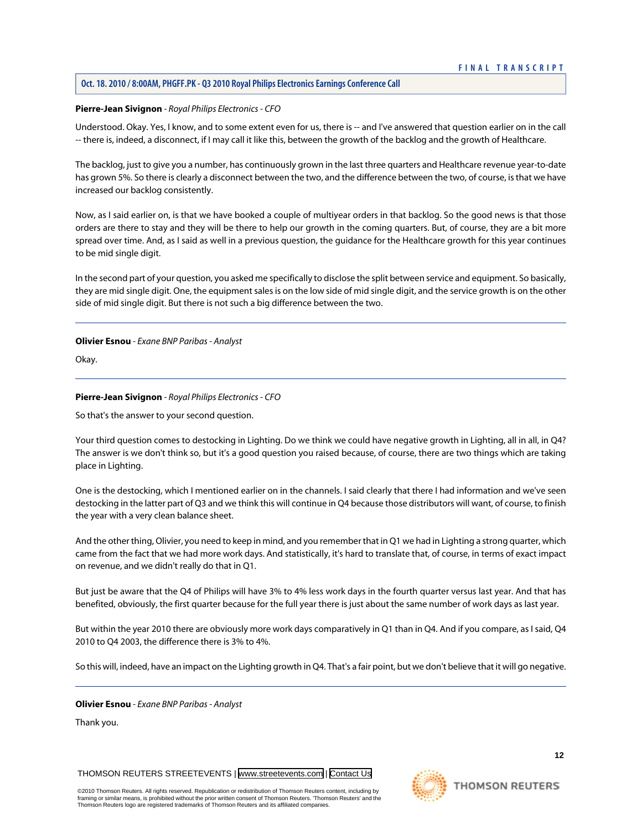# **Oct. 18. 2010 / 8:00AM, PHGFF.PK - Q3 2010 Royal Philips Electronics Earnings Conference Call**

#### **Pierre-Jean Sivignon** *- Royal Philips Electronics - CFO*

Understood. Okay. Yes, I know, and to some extent even for us, there is -- and I've answered that question earlier on in the call -- there is, indeed, a disconnect, if I may call it like this, between the growth of the backlog and the growth of Healthcare.

The backlog, just to give you a number, has continuously grown in the last three quarters and Healthcare revenue year-to-date has grown 5%. So there is clearly a disconnect between the two, and the difference between the two, of course, is that we have increased our backlog consistently.

Now, as I said earlier on, is that we have booked a couple of multiyear orders in that backlog. So the good news is that those orders are there to stay and they will be there to help our growth in the coming quarters. But, of course, they are a bit more spread over time. And, as I said as well in a previous question, the guidance for the Healthcare growth for this year continues to be mid single digit.

In the second part of your question, you asked me specifically to disclose the split between service and equipment. So basically, they are mid single digit. One, the equipment sales is on the low side of mid single digit, and the service growth is on the other side of mid single digit. But there is not such a big difference between the two.

#### **Olivier Esnou** *- Exane BNP Paribas - Analyst*

Okay.

# **Pierre-Jean Sivignon** *- Royal Philips Electronics - CFO*

So that's the answer to your second question.

Your third question comes to destocking in Lighting. Do we think we could have negative growth in Lighting, all in all, in Q4? The answer is we don't think so, but it's a good question you raised because, of course, there are two things which are taking place in Lighting.

One is the destocking, which I mentioned earlier on in the channels. I said clearly that there I had information and we've seen destocking in the latter part of Q3 and we think this will continue in Q4 because those distributors will want, of course, to finish the year with a very clean balance sheet.

And the other thing, Olivier, you need to keep in mind, and you remember that in Q1 we had in Lighting a strong quarter, which came from the fact that we had more work days. And statistically, it's hard to translate that, of course, in terms of exact impact on revenue, and we didn't really do that in Q1.

But just be aware that the Q4 of Philips will have 3% to 4% less work days in the fourth quarter versus last year. And that has benefited, obviously, the first quarter because for the full year there is just about the same number of work days as last year.

But within the year 2010 there are obviously more work days comparatively in Q1 than in Q4. And if you compare, as I said, Q4 2010 to Q4 2003, the difference there is 3% to 4%.

So this will, indeed, have an impact on the Lighting growth in Q4. That's a fair point, but we don't believe that it will go negative.

**Olivier Esnou** *- Exane BNP Paribas - Analyst*

Thank you.

THOMSON REUTERS STREETEVENTS | [www.streetevents.com](http://www.streetevents.com) | [Contact Us](http://www010.streetevents.com/contact.asp)

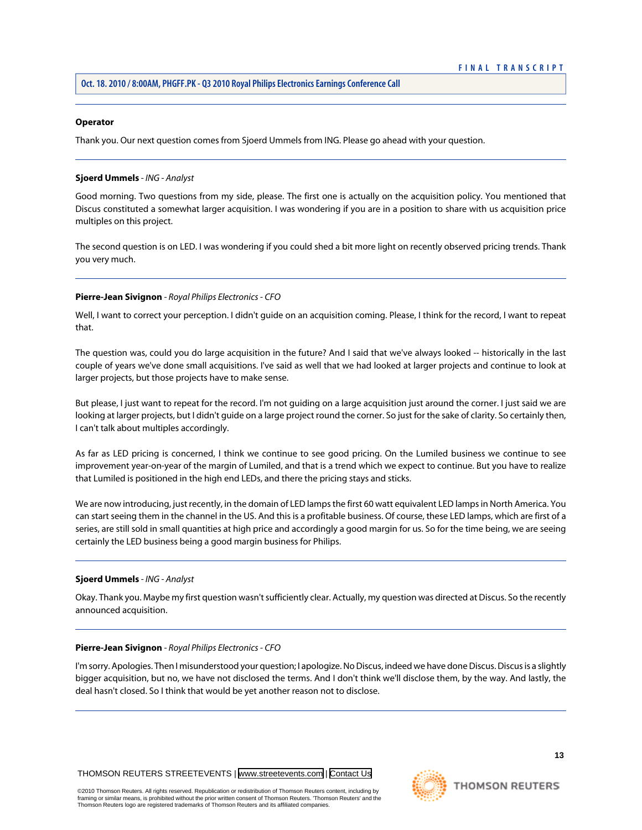#### **Operator**

Thank you. Our next question comes from Sjoerd Ummels from ING. Please go ahead with your question.

#### <span id="page-13-0"></span>**Sjoerd Ummels** *- ING - Analyst*

Good morning. Two questions from my side, please. The first one is actually on the acquisition policy. You mentioned that Discus constituted a somewhat larger acquisition. I was wondering if you are in a position to share with us acquisition price multiples on this project.

The second question is on LED. I was wondering if you could shed a bit more light on recently observed pricing trends. Thank you very much.

#### **Pierre-Jean Sivignon** *- Royal Philips Electronics - CFO*

Well, I want to correct your perception. I didn't guide on an acquisition coming. Please, I think for the record, I want to repeat that.

The question was, could you do large acquisition in the future? And I said that we've always looked -- historically in the last couple of years we've done small acquisitions. I've said as well that we had looked at larger projects and continue to look at larger projects, but those projects have to make sense.

But please, I just want to repeat for the record. I'm not guiding on a large acquisition just around the corner. I just said we are looking at larger projects, but I didn't guide on a large project round the corner. So just for the sake of clarity. So certainly then, I can't talk about multiples accordingly.

As far as LED pricing is concerned, I think we continue to see good pricing. On the Lumiled business we continue to see improvement year-on-year of the margin of Lumiled, and that is a trend which we expect to continue. But you have to realize that Lumiled is positioned in the high end LEDs, and there the pricing stays and sticks.

We are now introducing, just recently, in the domain of LED lamps the first 60 watt equivalent LED lamps in North America. You can start seeing them in the channel in the US. And this is a profitable business. Of course, these LED lamps, which are first of a series, are still sold in small quantities at high price and accordingly a good margin for us. So for the time being, we are seeing certainly the LED business being a good margin business for Philips.

#### **Sjoerd Ummels** *- ING - Analyst*

Okay. Thank you. Maybe my first question wasn't sufficiently clear. Actually, my question was directed at Discus. So the recently announced acquisition.

#### **Pierre-Jean Sivignon** *- Royal Philips Electronics - CFO*

I'm sorry. Apologies. Then I misunderstood your question; I apologize. No Discus, indeed we have done Discus. Discus is a slightly bigger acquisition, but no, we have not disclosed the terms. And I don't think we'll disclose them, by the way. And lastly, the deal hasn't closed. So I think that would be yet another reason not to disclose.



#### ©2010 Thomson Reuters. All rights reserved. Republication or redistribution of Thomson Reuters content, including by framing or similar means, is prohibited without the prior written consent of Thomson Reuters. 'Thomson Reuters' and the Thomson Reuters logo are registered trademarks of Thomson Reuters and its affiliated companies.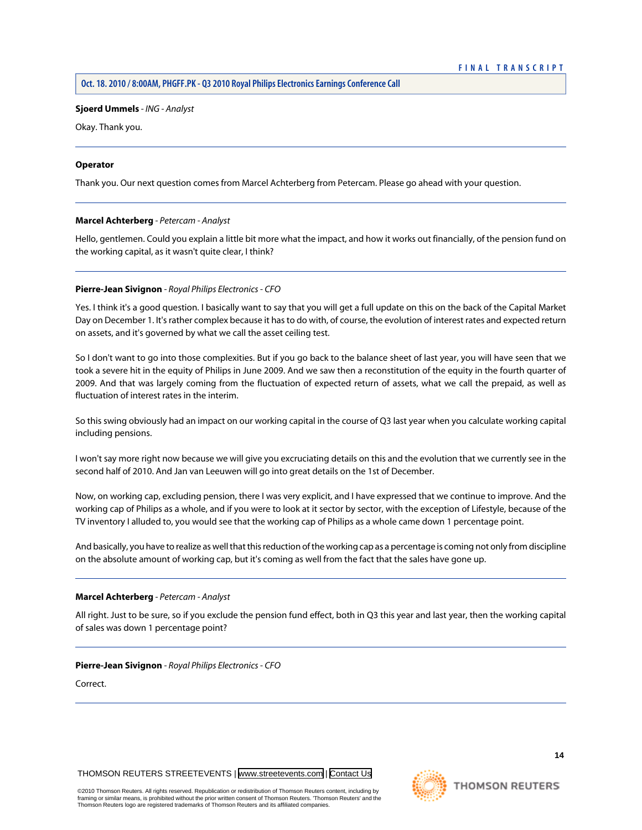# **Sjoerd Ummels** *- ING - Analyst*

Okay. Thank you.

# **Operator**

<span id="page-14-0"></span>Thank you. Our next question comes from Marcel Achterberg from Petercam. Please go ahead with your question.

# **Marcel Achterberg** *- Petercam - Analyst*

Hello, gentlemen. Could you explain a little bit more what the impact, and how it works out financially, of the pension fund on the working capital, as it wasn't quite clear, I think?

# **Pierre-Jean Sivignon** *- Royal Philips Electronics - CFO*

Yes. I think it's a good question. I basically want to say that you will get a full update on this on the back of the Capital Market Day on December 1. It's rather complex because it has to do with, of course, the evolution of interest rates and expected return on assets, and it's governed by what we call the asset ceiling test.

So I don't want to go into those complexities. But if you go back to the balance sheet of last year, you will have seen that we took a severe hit in the equity of Philips in June 2009. And we saw then a reconstitution of the equity in the fourth quarter of 2009. And that was largely coming from the fluctuation of expected return of assets, what we call the prepaid, as well as fluctuation of interest rates in the interim.

So this swing obviously had an impact on our working capital in the course of Q3 last year when you calculate working capital including pensions.

I won't say more right now because we will give you excruciating details on this and the evolution that we currently see in the second half of 2010. And Jan van Leeuwen will go into great details on the 1st of December.

Now, on working cap, excluding pension, there I was very explicit, and I have expressed that we continue to improve. And the working cap of Philips as a whole, and if you were to look at it sector by sector, with the exception of Lifestyle, because of the TV inventory I alluded to, you would see that the working cap of Philips as a whole came down 1 percentage point.

And basically, you have to realize as well that this reduction of the working cap as a percentage is coming not only from discipline on the absolute amount of working cap, but it's coming as well from the fact that the sales have gone up.

#### **Marcel Achterberg** *- Petercam - Analyst*

All right. Just to be sure, so if you exclude the pension fund effect, both in Q3 this year and last year, then the working capital of sales was down 1 percentage point?

# **Pierre-Jean Sivignon** *- Royal Philips Electronics - CFO*

Correct.



#### ©2010 Thomson Reuters. All rights reserved. Republication or redistribution of Thomson Reuters content, including by framing or similar means, is prohibited without the prior written consent of Thomson Reuters. 'Thomson Reuters' and the Thomson Reuters logo are registered trademarks of Thomson Reuters and its affiliated companies.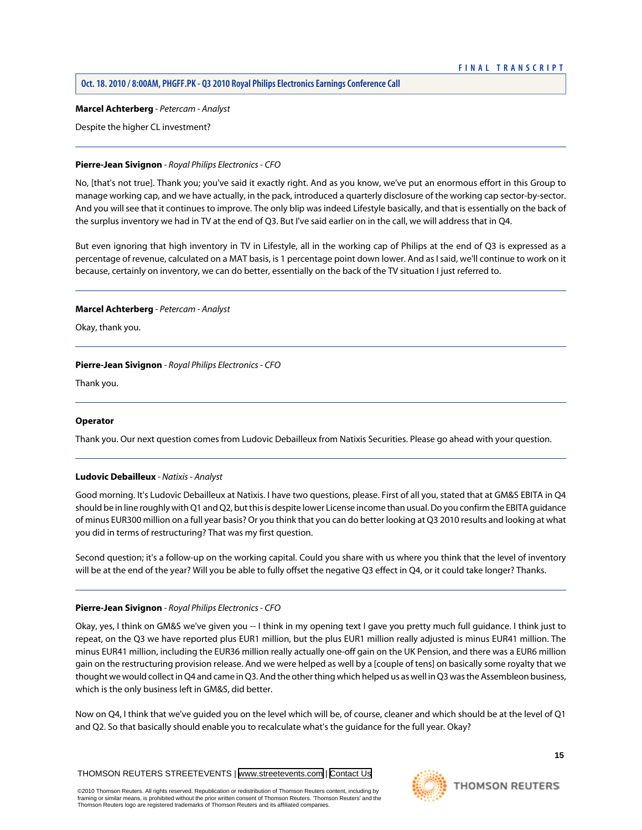#### **Marcel Achterberg** *- Petercam - Analyst*

Despite the higher CL investment?

# **Pierre-Jean Sivignon** *- Royal Philips Electronics - CFO*

No, [that's not true]. Thank you; you've said it exactly right. And as you know, we've put an enormous effort in this Group to manage working cap, and we have actually, in the pack, introduced a quarterly disclosure of the working cap sector-by-sector. And you will see that it continues to improve. The only blip was indeed Lifestyle basically, and that is essentially on the back of the surplus inventory we had in TV at the end of Q3. But I've said earlier on in the call, we will address that in Q4.

But even ignoring that high inventory in TV in Lifestyle, all in the working cap of Philips at the end of Q3 is expressed as a percentage of revenue, calculated on a MAT basis, is 1 percentage point down lower. And as I said, we'll continue to work on it because, certainly on inventory, we can do better, essentially on the back of the TV situation I just referred to.

# **Marcel Achterberg** *- Petercam - Analyst*

Okay, thank you.

# **Pierre-Jean Sivignon** *- Royal Philips Electronics - CFO*

Thank you.

# <span id="page-15-0"></span>**Operator**

Thank you. Our next question comes from Ludovic Debailleux from Natixis Securities. Please go ahead with your question.

# **Ludovic Debailleux** *- Natixis - Analyst*

Good morning. It's Ludovic Debailleux at Natixis. I have two questions, please. First of all you, stated that at GM&S EBITA in Q4 should be in line roughly with Q1 and Q2, but this is despite lower License income than usual. Do you confirm the EBITA guidance of minus EUR300 million on a full year basis? Or you think that you can do better looking at Q3 2010 results and looking at what you did in terms of restructuring? That was my first question.

Second question; it's a follow-up on the working capital. Could you share with us where you think that the level of inventory will be at the end of the year? Will you be able to fully offset the negative Q3 effect in Q4, or it could take longer? Thanks.

# **Pierre-Jean Sivignon** *- Royal Philips Electronics - CFO*

Okay, yes, I think on GM&S we've given you -- I think in my opening text I gave you pretty much full guidance. I think just to repeat, on the Q3 we have reported plus EUR1 million, but the plus EUR1 million really adjusted is minus EUR41 million. The minus EUR41 million, including the EUR36 million really actually one-off gain on the UK Pension, and there was a EUR6 million gain on the restructuring provision release. And we were helped as well by a [couple of tens] on basically some royalty that we thought we would collect in Q4 and came in Q3. And the other thing which helped us as well in Q3 was the Assembleon business, which is the only business left in GM&S, did better.

Now on Q4, I think that we've guided you on the level which will be, of course, cleaner and which should be at the level of Q1 and Q2. So that basically should enable you to recalculate what's the guidance for the full year. Okay?

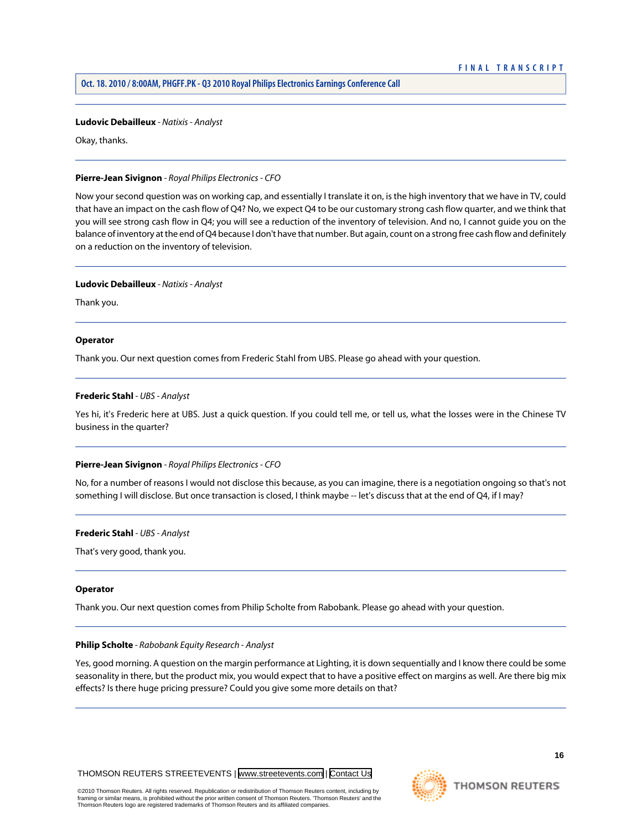#### **Ludovic Debailleux** *- Natixis - Analyst*

Okay, thanks.

# **Pierre-Jean Sivignon** *- Royal Philips Electronics - CFO*

Now your second question was on working cap, and essentially I translate it on, is the high inventory that we have in TV, could that have an impact on the cash flow of Q4? No, we expect Q4 to be our customary strong cash flow quarter, and we think that you will see strong cash flow in Q4; you will see a reduction of the inventory of television. And no, I cannot guide you on the balance of inventory at the end of Q4 because I don't have that number. But again, count on a strong free cash flow and definitely on a reduction on the inventory of television.

#### **Ludovic Debailleux** *- Natixis - Analyst*

Thank you.

#### **Operator**

<span id="page-16-0"></span>Thank you. Our next question comes from Frederic Stahl from UBS. Please go ahead with your question.

### **Frederic Stahl** *- UBS - Analyst*

Yes hi, it's Frederic here at UBS. Just a quick question. If you could tell me, or tell us, what the losses were in the Chinese TV business in the quarter?

#### **Pierre-Jean Sivignon** *- Royal Philips Electronics - CFO*

No, for a number of reasons I would not disclose this because, as you can imagine, there is a negotiation ongoing so that's not something I will disclose. But once transaction is closed, I think maybe -- let's discuss that at the end of Q4, if I may?

#### **Frederic Stahl** *- UBS - Analyst*

That's very good, thank you.

#### <span id="page-16-1"></span>**Operator**

Thank you. Our next question comes from Philip Scholte from Rabobank. Please go ahead with your question.

#### **Philip Scholte** *- Rabobank Equity Research - Analyst*

Yes, good morning. A question on the margin performance at Lighting, it is down sequentially and I know there could be some seasonality in there, but the product mix, you would expect that to have a positive effect on margins as well. Are there big mix effects? Is there huge pricing pressure? Could you give some more details on that?

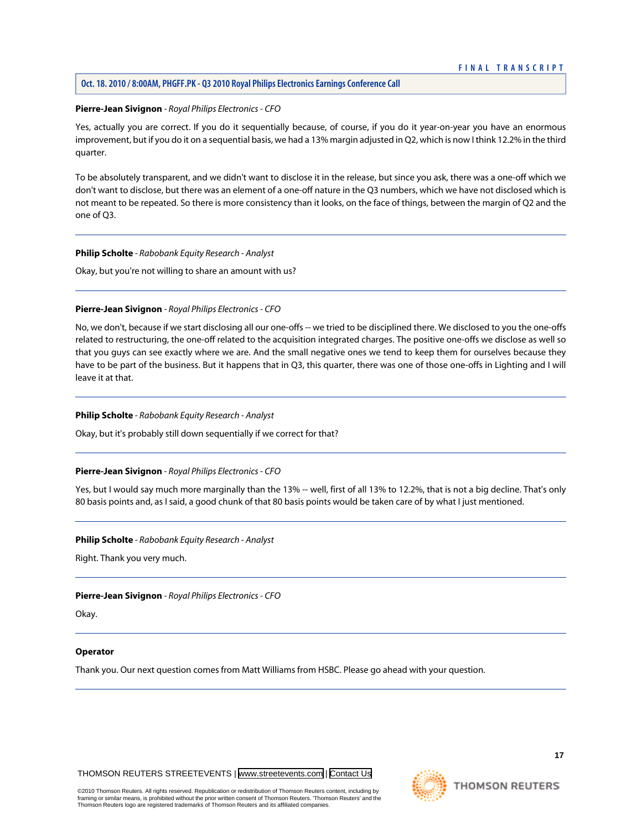# **Oct. 18. 2010 / 8:00AM, PHGFF.PK - Q3 2010 Royal Philips Electronics Earnings Conference Call**

#### **Pierre-Jean Sivignon** *- Royal Philips Electronics - CFO*

Yes, actually you are correct. If you do it sequentially because, of course, if you do it year-on-year you have an enormous improvement, but if you do it on a sequential basis, we had a 13% margin adjusted in Q2, which is now I think 12.2% in the third quarter.

To be absolutely transparent, and we didn't want to disclose it in the release, but since you ask, there was a one-off which we don't want to disclose, but there was an element of a one-off nature in the Q3 numbers, which we have not disclosed which is not meant to be repeated. So there is more consistency than it looks, on the face of things, between the margin of Q2 and the one of Q3.

#### **Philip Scholte** *- Rabobank Equity Research - Analyst*

Okay, but you're not willing to share an amount with us?

# **Pierre-Jean Sivignon** *- Royal Philips Electronics - CFO*

No, we don't, because if we start disclosing all our one-offs -- we tried to be disciplined there. We disclosed to you the one-offs related to restructuring, the one-off related to the acquisition integrated charges. The positive one-offs we disclose as well so that you guys can see exactly where we are. And the small negative ones we tend to keep them for ourselves because they have to be part of the business. But it happens that in Q3, this quarter, there was one of those one-offs in Lighting and I will leave it at that.

# **Philip Scholte** *- Rabobank Equity Research - Analyst*

Okay, but it's probably still down sequentially if we correct for that?

#### **Pierre-Jean Sivignon** *- Royal Philips Electronics - CFO*

Yes, but I would say much more marginally than the 13% -- well, first of all 13% to 12.2%, that is not a big decline. That's only 80 basis points and, as I said, a good chunk of that 80 basis points would be taken care of by what I just mentioned.

#### **Philip Scholte** *- Rabobank Equity Research - Analyst*

Right. Thank you very much.

#### **Pierre-Jean Sivignon** *- Royal Philips Electronics - CFO*

Okay.

#### **Operator**

Thank you. Our next question comes from Matt Williams from HSBC. Please go ahead with your question.

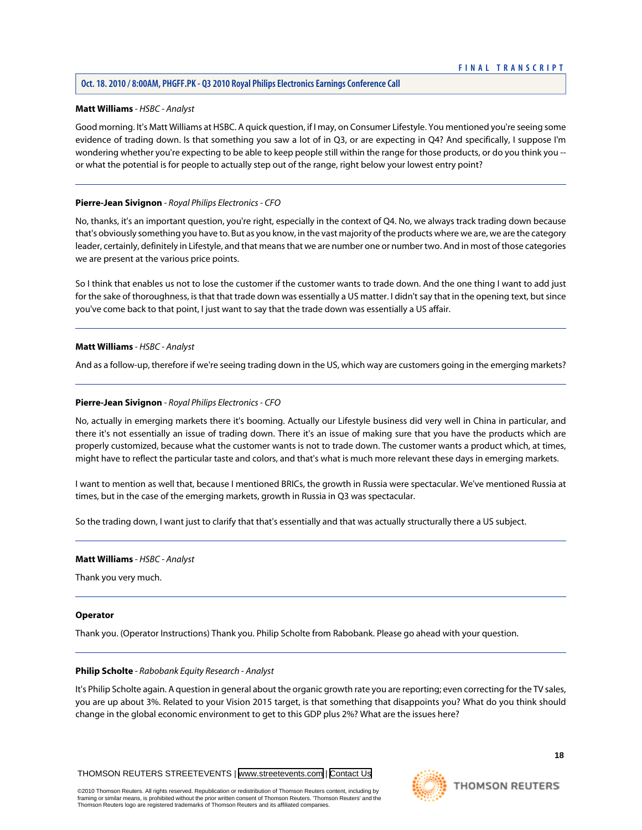# <span id="page-18-0"></span>**Matt Williams** *- HSBC - Analyst*

Good morning. It's Matt Williams at HSBC. A quick question, if I may, on Consumer Lifestyle. You mentioned you're seeing some evidence of trading down. Is that something you saw a lot of in Q3, or are expecting in Q4? And specifically, I suppose I'm wondering whether you're expecting to be able to keep people still within the range for those products, or do you think you - or what the potential is for people to actually step out of the range, right below your lowest entry point?

# **Pierre-Jean Sivignon** *- Royal Philips Electronics - CFO*

No, thanks, it's an important question, you're right, especially in the context of Q4. No, we always track trading down because that's obviously something you have to. But as you know, in the vast majority of the products where we are, we are the category leader, certainly, definitely in Lifestyle, and that means that we are number one or number two. And in most of those categories we are present at the various price points.

So I think that enables us not to lose the customer if the customer wants to trade down. And the one thing I want to add just for the sake of thoroughness, is that that trade down was essentially a US matter. I didn't say that in the opening text, but since you've come back to that point, I just want to say that the trade down was essentially a US affair.

# **Matt Williams** *- HSBC - Analyst*

And as a follow-up, therefore if we're seeing trading down in the US, which way are customers going in the emerging markets?

# **Pierre-Jean Sivignon** *- Royal Philips Electronics - CFO*

No, actually in emerging markets there it's booming. Actually our Lifestyle business did very well in China in particular, and there it's not essentially an issue of trading down. There it's an issue of making sure that you have the products which are properly customized, because what the customer wants is not to trade down. The customer wants a product which, at times, might have to reflect the particular taste and colors, and that's what is much more relevant these days in emerging markets.

I want to mention as well that, because I mentioned BRICs, the growth in Russia were spectacular. We've mentioned Russia at times, but in the case of the emerging markets, growth in Russia in Q3 was spectacular.

So the trading down, I want just to clarify that that's essentially and that was actually structurally there a US subject.

# **Matt Williams** *- HSBC - Analyst*

Thank you very much.

#### **Operator**

Thank you. (Operator Instructions) Thank you. Philip Scholte from Rabobank. Please go ahead with your question.

#### **Philip Scholte** *- Rabobank Equity Research - Analyst*

It's Philip Scholte again. A question in general about the organic growth rate you are reporting; even correcting for the TV sales, you are up about 3%. Related to your Vision 2015 target, is that something that disappoints you? What do you think should change in the global economic environment to get to this GDP plus 2%? What are the issues here?

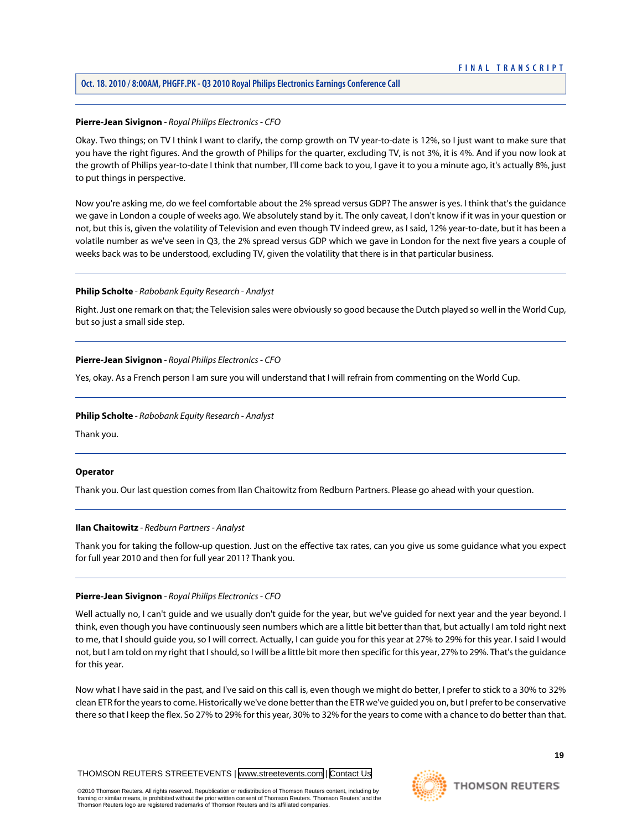# **Oct. 18. 2010 / 8:00AM, PHGFF.PK - Q3 2010 Royal Philips Electronics Earnings Conference Call**

# **Pierre-Jean Sivignon** *- Royal Philips Electronics - CFO*

Okay. Two things; on TV I think I want to clarify, the comp growth on TV year-to-date is 12%, so I just want to make sure that you have the right figures. And the growth of Philips for the quarter, excluding TV, is not 3%, it is 4%. And if you now look at the growth of Philips year-to-date I think that number, I'll come back to you, I gave it to you a minute ago, it's actually 8%, just to put things in perspective.

Now you're asking me, do we feel comfortable about the 2% spread versus GDP? The answer is yes. I think that's the guidance we gave in London a couple of weeks ago. We absolutely stand by it. The only caveat, I don't know if it was in your question or not, but this is, given the volatility of Television and even though TV indeed grew, as I said, 12% year-to-date, but it has been a volatile number as we've seen in Q3, the 2% spread versus GDP which we gave in London for the next five years a couple of weeks back was to be understood, excluding TV, given the volatility that there is in that particular business.

# **Philip Scholte** *- Rabobank Equity Research - Analyst*

Right. Just one remark on that; the Television sales were obviously so good because the Dutch played so well in the World Cup, but so just a small side step.

# **Pierre-Jean Sivignon** *- Royal Philips Electronics - CFO*

Yes, okay. As a French person I am sure you will understand that I will refrain from commenting on the World Cup.

#### **Philip Scholte** *- Rabobank Equity Research - Analyst*

Thank you.

#### **Operator**

Thank you. Our last question comes from Ilan Chaitowitz from Redburn Partners. Please go ahead with your question.

#### **Ilan Chaitowitz** *- Redburn Partners - Analyst*

Thank you for taking the follow-up question. Just on the effective tax rates, can you give us some guidance what you expect for full year 2010 and then for full year 2011? Thank you.

#### **Pierre-Jean Sivignon** *- Royal Philips Electronics - CFO*

Well actually no, I can't guide and we usually don't guide for the year, but we've guided for next year and the year beyond. I think, even though you have continuously seen numbers which are a little bit better than that, but actually I am told right next to me, that I should guide you, so I will correct. Actually, I can guide you for this year at 27% to 29% for this year. I said I would not, but I am told on my right that I should, so I will be a little bit more then specific for this year, 27% to 29%. That's the guidance for this year.

Now what I have said in the past, and I've said on this call is, even though we might do better, I prefer to stick to a 30% to 32% clean ETR for the years to come. Historically we've done better than the ETR we've guided you on, but I prefer to be conservative there so that I keep the flex. So 27% to 29% for this year, 30% to 32% for the years to come with a chance to do better than that.